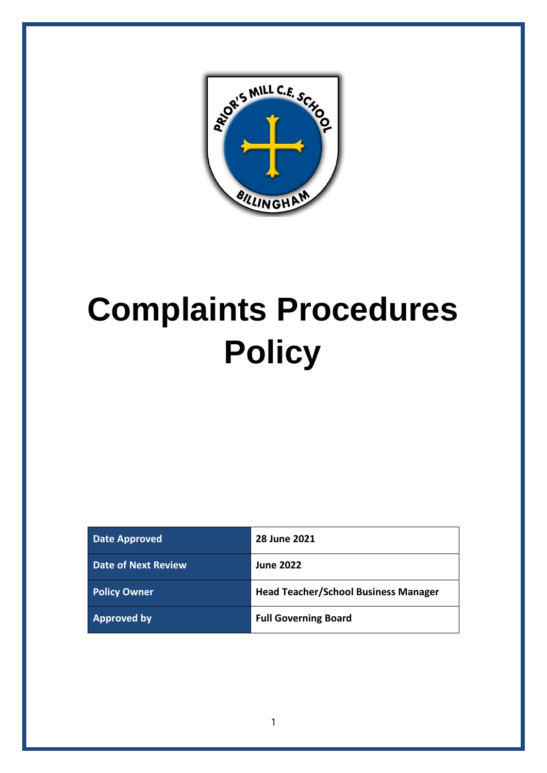

# **Complaints Procedures Policy**

| <b>Date Approved</b>       | <b>28 June 2021</b>                         |
|----------------------------|---------------------------------------------|
| <b>Date of Next Review</b> | <b>June 2022</b>                            |
| <b>Policy Owner</b>        | <b>Head Teacher/School Business Manager</b> |
| <b>Approved by</b>         | <b>Full Governing Board</b>                 |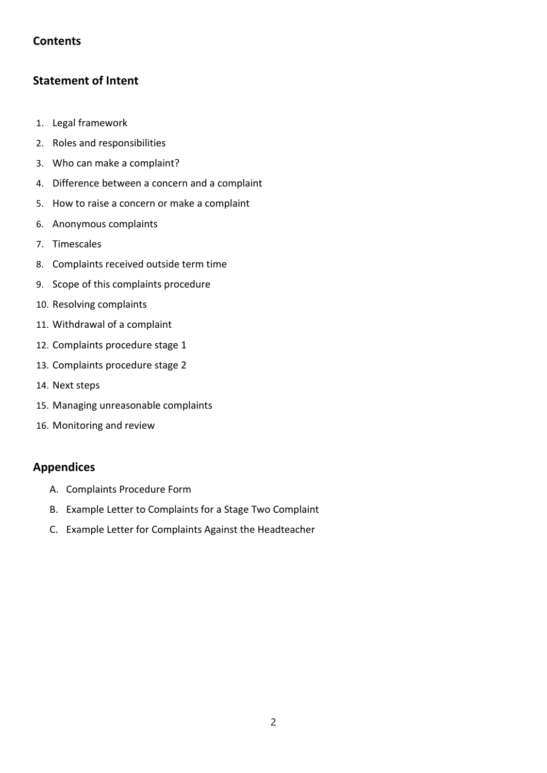# **Contents**

# **Statement of Intent**

- 1. [Legal framework](#page-3-0)
- 2. [Roles and responsibilities](#page-14-0)
- 3. Who can make a complaint?
- 4. Difference between a concern and a complaint
- 5. How to raise a concern or make a complaint
- 6. Anonymous complaints
- 7. Timescales
- 8. Complaints received outside term time
- 9. Scope of this complaints procedure
- 10. Resolving complaints
- 11. Withdrawal of a complaint
- 12. Complaints procedure stage 1
- 13. Complaints procedure stage 2
- 14. Next steps
- 15. Managing unreasonable complaints
- 16. [Monitoring and review](#page-14-0)

# **Appendices**

- A. [Complaints Procedure Form](#page-15-0)
- B. [Example Letter to Complaints for a Stage Two Complaint](#page-16-0)
- C. [Example Letter for Complaints Against the Headteacher](#page-17-0)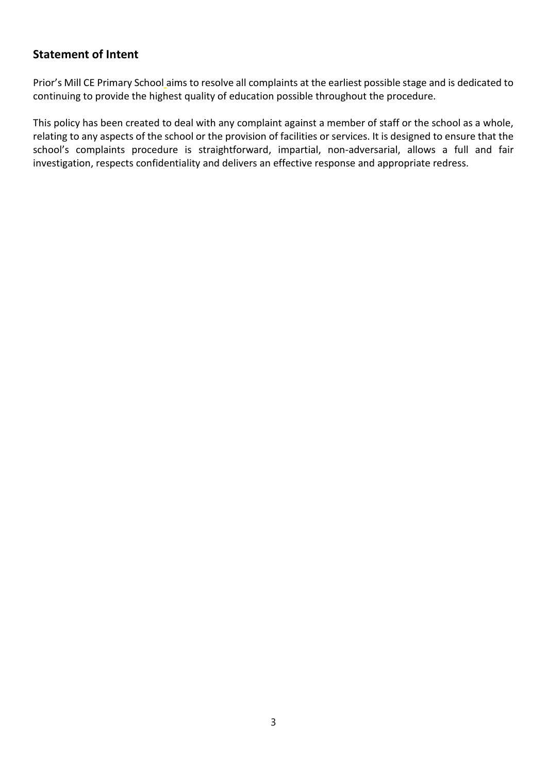# **Statement of Intent**

Prior's Mill CE Primary School aims to resolve all complaints at the earliest possible stage and is dedicated to continuing to provide the highest quality of education possible throughout the procedure.

This policy has been created to deal with any complaint against a member of staff or the school as a whole, relating to any aspects of the school or the provision of facilities or services. It is designed to ensure that the school's complaints procedure is straightforward, impartial, non-adversarial, allows a full and fair investigation, respects confidentiality and delivers an effective response and appropriate redress.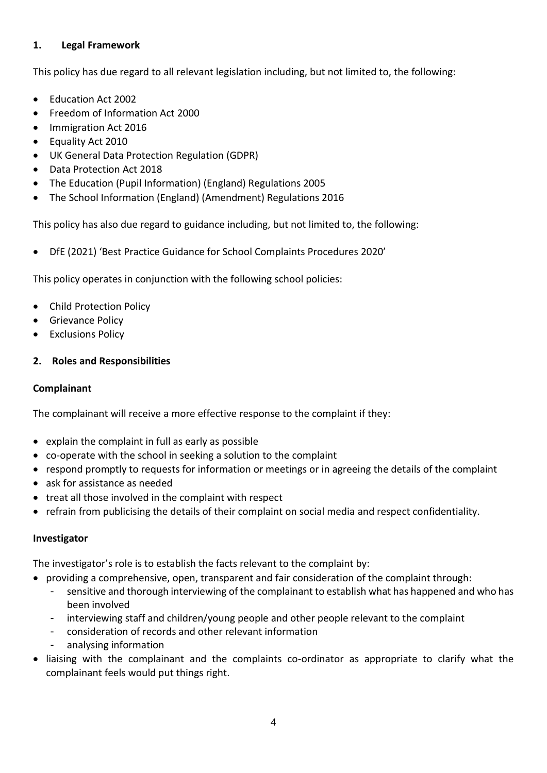## <span id="page-3-0"></span>**1. Legal Framework**

This policy has due regard to all relevant legislation including, but not limited to, the following:

- Education Act 2002
- Freedom of Information Act 2000
- Immigration Act 2016
- Equality Act 2010
- UK General Data Protection Regulation (GDPR)
- Data Protection Act 2018
- The Education (Pupil Information) (England) Regulations 2005
- The School Information (England) (Amendment) Regulations 2016

This policy has also due regard to guidance including, but not limited to, the following:

• DfE (2021) 'Best Practice Guidance for School Complaints Procedures 2020'

This policy operates in conjunction with the following school policies:

- Child Protection Policy
- Grievance Policy
- **Exclusions Policy**

#### **2. Roles and Responsibilities**

#### **Complainant**

The complainant will receive a more effective response to the complaint if they:

- explain the complaint in full as early as possible
- co-operate with the school in seeking a solution to the complaint
- respond promptly to requests for information or meetings or in agreeing the details of the complaint
- ask for assistance as needed
- treat all those involved in the complaint with respect
- refrain from publicising the details of their complaint on social media and respect confidentiality.

#### **Investigator**

The investigator's role is to establish the facts relevant to the complaint by:

- providing a comprehensive, open, transparent and fair consideration of the complaint through:
	- sensitive and thorough interviewing of the complainant to establish what has happened and who has been involved
	- interviewing staff and children/young people and other people relevant to the complaint
	- consideration of records and other relevant information
	- analysing information
- liaising with the complainant and the complaints co-ordinator as appropriate to clarify what the complainant feels would put things right.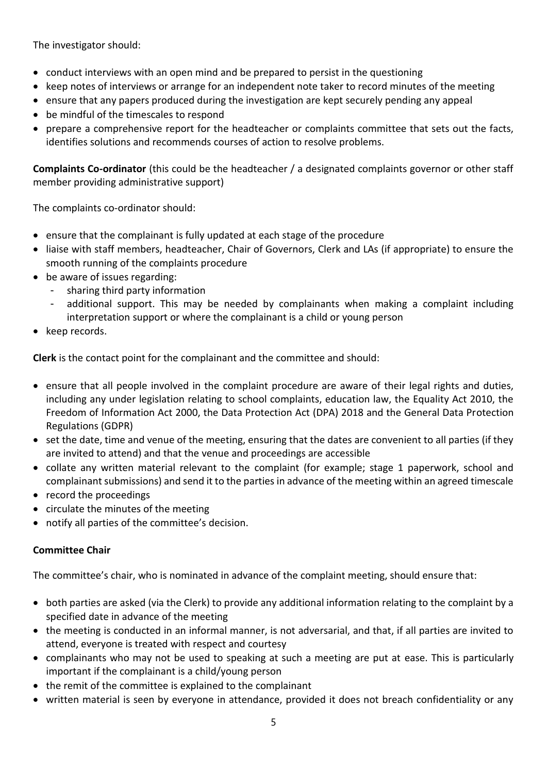The investigator should:

- conduct interviews with an open mind and be prepared to persist in the questioning
- keep notes of interviews or arrange for an independent note taker to record minutes of the meeting
- ensure that any papers produced during the investigation are kept securely pending any appeal
- be mindful of the timescales to respond
- prepare a comprehensive report for the headteacher or complaints committee that sets out the facts, identifies solutions and recommends courses of action to resolve problems.

**Complaints Co-ordinator** (this could be the headteacher / a designated complaints governor or other staff member providing administrative support)

The complaints co-ordinator should:

- ensure that the complainant is fully updated at each stage of the procedure
- liaise with staff members, headteacher, Chair of Governors, Clerk and LAs (if appropriate) to ensure the smooth running of the complaints procedure
- be aware of issues regarding:
	- sharing third party information
	- additional support. This may be needed by complainants when making a complaint including interpretation support or where the complainant is a child or young person
- keep records.

**Clerk** is the contact point for the complainant and the committee and should:

- ensure that all people involved in the complaint procedure are aware of their legal rights and duties, including any under legislation relating to school complaints, education law, the Equality Act 2010, the Freedom of Information Act 2000, the Data Protection Act (DPA) 2018 and the General Data Protection Regulations (GDPR)
- set the date, time and venue of the meeting, ensuring that the dates are convenient to all parties (if they are invited to attend) and that the venue and proceedings are accessible
- collate any written material relevant to the complaint (for example; stage 1 paperwork, school and complainant submissions) and send it to the parties in advance of the meeting within an agreed timescale
- record the proceedings
- circulate the minutes of the meeting
- notify all parties of the committee's decision.

#### **Committee Chair**

The committee's chair, who is nominated in advance of the complaint meeting, should ensure that:

- both parties are asked (via the Clerk) to provide any additional information relating to the complaint by a specified date in advance of the meeting
- the meeting is conducted in an informal manner, is not adversarial, and that, if all parties are invited to attend, everyone is treated with respect and courtesy
- complainants who may not be used to speaking at such a meeting are put at ease. This is particularly important if the complainant is a child/young person
- the remit of the committee is explained to the complainant
- written material is seen by everyone in attendance, provided it does not breach confidentiality or any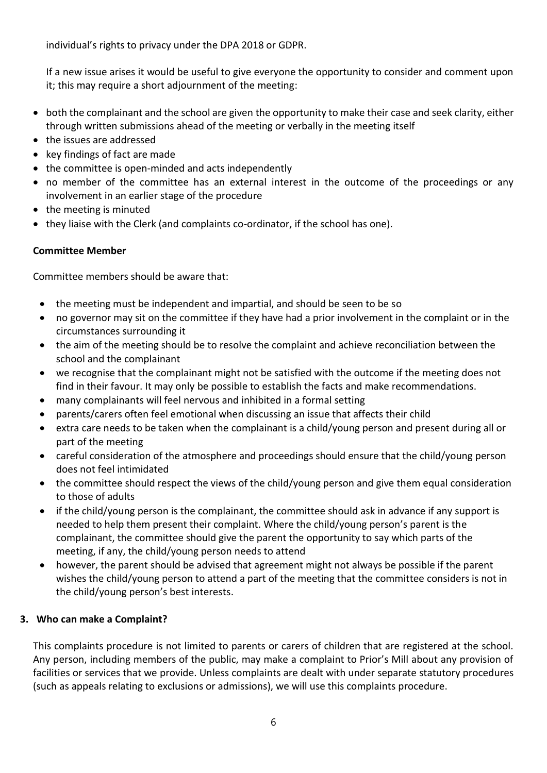individual's rights to privacy under the DPA 2018 or GDPR.

If a new issue arises it would be useful to give everyone the opportunity to consider and comment upon it; this may require a short adjournment of the meeting:

- both the complainant and the school are given the opportunity to make their case and seek clarity, either through written submissions ahead of the meeting or verbally in the meeting itself
- the issues are addressed
- key findings of fact are made
- the committee is open-minded and acts independently
- no member of the committee has an external interest in the outcome of the proceedings or any involvement in an earlier stage of the procedure
- the meeting is minuted
- they liaise with the Clerk (and complaints co-ordinator, if the school has one).

## **Committee Member**

Committee members should be aware that:

- the meeting must be independent and impartial, and should be seen to be so
- no governor may sit on the committee if they have had a prior involvement in the complaint or in the circumstances surrounding it
- the aim of the meeting should be to resolve the complaint and achieve reconciliation between the school and the complainant
- we recognise that the complainant might not be satisfied with the outcome if the meeting does not find in their favour. It may only be possible to establish the facts and make recommendations.
- many complainants will feel nervous and inhibited in a formal setting
- parents/carers often feel emotional when discussing an issue that affects their child
- extra care needs to be taken when the complainant is a child/young person and present during all or part of the meeting
- careful consideration of the atmosphere and proceedings should ensure that the child/young person does not feel intimidated
- the committee should respect the views of the child/young person and give them equal consideration to those of adults
- if the child/young person is the complainant, the committee should ask in advance if any support is needed to help them present their complaint. Where the child/young person's parent is the complainant, the committee should give the parent the opportunity to say which parts of the meeting, if any, the child/young person needs to attend
- however, the parent should be advised that agreement might not always be possible if the parent wishes the child/young person to attend a part of the meeting that the committee considers is not in the child/young person's best interests.

#### **3. Who can make a Complaint?**

This complaints procedure is not limited to parents or carers of children that are registered at the school. Any person, including members of the public, may make a complaint to Prior's Mill about any provision of facilities or services that we provide. Unless complaints are dealt with under separate statutory procedures (such as appeals relating to exclusions or admissions), we will use this complaints procedure.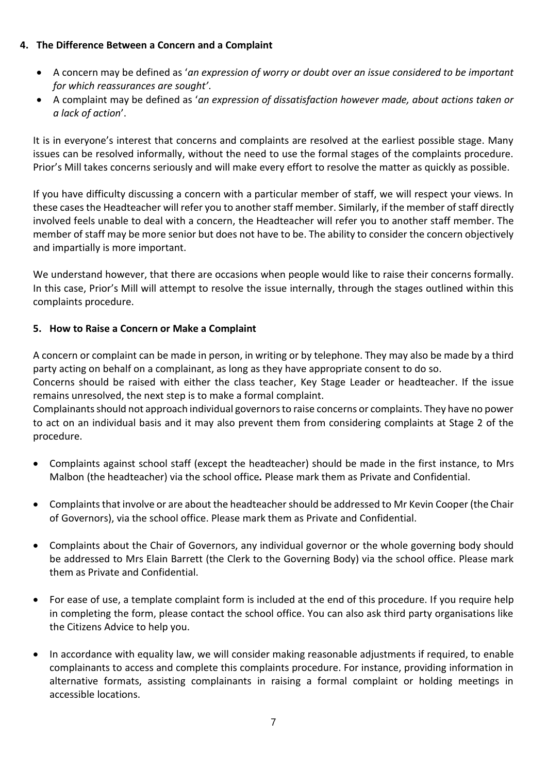## **4. The Difference Between a Concern and a Complaint**

- A concern may be defined as '*an expression of worry or doubt over an issue considered to be important for which reassurances are sought'*.
- A complaint may be defined as '*an expression of dissatisfaction however made, about actions taken or a lack of action*'.

It is in everyone's interest that concerns and complaints are resolved at the earliest possible stage. Many issues can be resolved informally, without the need to use the formal stages of the complaints procedure. Prior's Mill takes concerns seriously and will make every effort to resolve the matter as quickly as possible.

If you have difficulty discussing a concern with a particular member of staff, we will respect your views. In these casesthe Headteacher will refer you to another staff member. Similarly, if the member of staff directly involved feels unable to deal with a concern, the Headteacher will refer you to another staff member. The member of staff may be more senior but does not have to be. The ability to consider the concern objectively and impartially is more important.

We understand however, that there are occasions when people would like to raise their concerns formally. In this case, Prior's Mill will attempt to resolve the issue internally, through the stages outlined within this complaints procedure.

## **5. How to Raise a Concern or Make a Complaint**

A concern or complaint can be made in person, in writing or by telephone. They may also be made by a third party acting on behalf on a complainant, as long as they have appropriate consent to do so.

Concerns should be raised with either the class teacher, Key Stage Leader or headteacher. If the issue remains unresolved, the next step is to make a formal complaint.

Complainants should not approach individual governors to raise concerns or complaints. They have no power to act on an individual basis and it may also prevent them from considering complaints at Stage 2 of the procedure.

- Complaints against school staff (except the headteacher) should be made in the first instance, to Mrs Malbon (the headteacher) via the school office*.* Please mark them as Private and Confidential.
- Complaints that involve or are about the headteacher should be addressed to Mr Kevin Cooper (the Chair of Governors), via the school office. Please mark them as Private and Confidential.
- Complaints about the Chair of Governors, any individual governor or the whole governing body should be addressed to Mrs Elain Barrett (the Clerk to the Governing Body) via the school office. Please mark them as Private and Confidential.
- For ease of use, a template complaint form is included at the end of this procedure. If you require help in completing the form, please contact the school office. You can also ask third party organisations like the Citizens Advice to help you.
- In accordance with equality law, we will consider making reasonable adjustments if required, to enable complainants to access and complete this complaints procedure. For instance, providing information in alternative formats, assisting complainants in raising a formal complaint or holding meetings in accessible locations.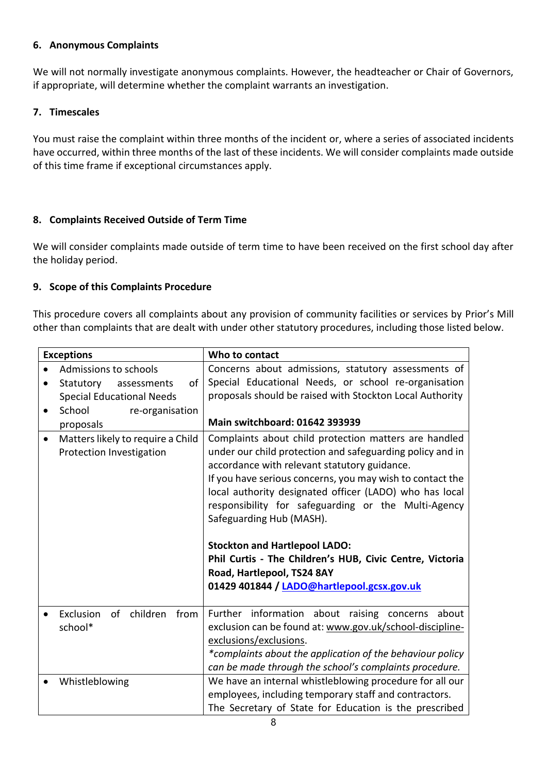#### **6. Anonymous Complaints**

We will not normally investigate anonymous complaints. However, the headteacher or Chair of Governors, if appropriate, will determine whether the complaint warrants an investigation.

#### **7. Timescales**

You must raise the complaint within three months of the incident or, where a series of associated incidents have occurred, within three months of the last of these incidents. We will consider complaints made outside of this time frame if exceptional circumstances apply.

#### **8. Complaints Received Outside of Term Time**

We will consider complaints made outside of term time to have been received on the first school day after the holiday period.

#### **9. Scope of this Complaints Procedure**

This procedure covers all complaints about any provision of community facilities or services by Prior's Mill other than complaints that are dealt with under other statutory procedures, including those listed below.

|           | <b>Exceptions</b>                                             | Who to contact                                                                                                                                                                                                                                                                                                                                                                                                                                                                                                                                                |
|-----------|---------------------------------------------------------------|---------------------------------------------------------------------------------------------------------------------------------------------------------------------------------------------------------------------------------------------------------------------------------------------------------------------------------------------------------------------------------------------------------------------------------------------------------------------------------------------------------------------------------------------------------------|
|           | Admissions to schools<br>Statutory<br>of<br>assessments       | Concerns about admissions, statutory assessments of<br>Special Educational Needs, or school re-organisation                                                                                                                                                                                                                                                                                                                                                                                                                                                   |
|           | <b>Special Educational Needs</b>                              | proposals should be raised with Stockton Local Authority                                                                                                                                                                                                                                                                                                                                                                                                                                                                                                      |
|           | School<br>re-organisation                                     |                                                                                                                                                                                                                                                                                                                                                                                                                                                                                                                                                               |
|           | proposals                                                     | <b>Main switchboard: 01642 393939</b>                                                                                                                                                                                                                                                                                                                                                                                                                                                                                                                         |
| $\bullet$ | Matters likely to require a Child<br>Protection Investigation | Complaints about child protection matters are handled<br>under our child protection and safeguarding policy and in<br>accordance with relevant statutory guidance.<br>If you have serious concerns, you may wish to contact the<br>local authority designated officer (LADO) who has local<br>responsibility for safeguarding or the Multi-Agency<br>Safeguarding Hub (MASH).<br><b>Stockton and Hartlepool LADO:</b><br>Phil Curtis - The Children's HUB, Civic Centre, Victoria<br>Road, Hartlepool, TS24 8AY<br>01429 401844 / LADO@hartlepool.gcsx.gov.uk |
|           | Exclusion<br>of children<br>from<br>school*                   | Further information about raising concerns<br>about<br>exclusion can be found at: www.gov.uk/school-discipline-<br>exclusions/exclusions.<br>*complaints about the application of the behaviour policy<br>can be made through the school's complaints procedure.                                                                                                                                                                                                                                                                                              |
|           | Whistleblowing                                                | We have an internal whistleblowing procedure for all our<br>employees, including temporary staff and contractors.<br>The Secretary of State for Education is the prescribed                                                                                                                                                                                                                                                                                                                                                                                   |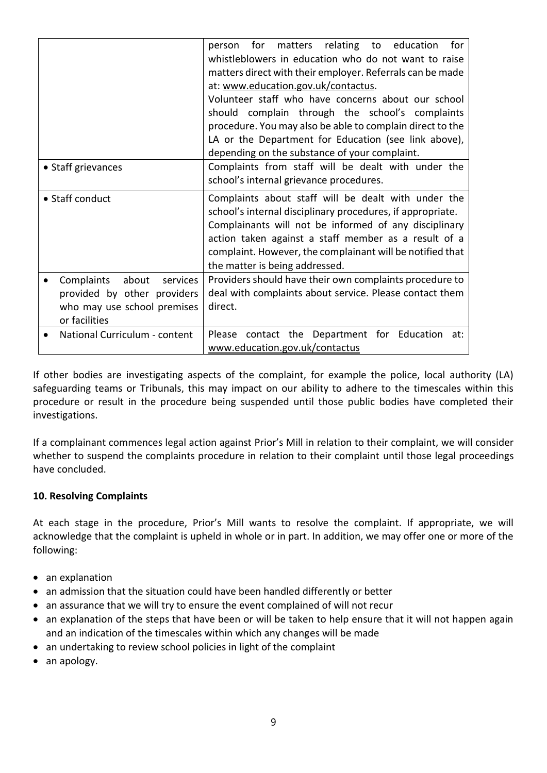|                                                                                                                | matters relating to education<br>for<br>for<br>person<br>whistleblowers in education who do not want to raise<br>matters direct with their employer. Referrals can be made<br>at: www.education.gov.uk/contactus.<br>Volunteer staff who have concerns about our school<br>should complain through the school's complaints<br>procedure. You may also be able to complain direct to the<br>LA or the Department for Education (see link above),<br>depending on the substance of your complaint. |
|----------------------------------------------------------------------------------------------------------------|--------------------------------------------------------------------------------------------------------------------------------------------------------------------------------------------------------------------------------------------------------------------------------------------------------------------------------------------------------------------------------------------------------------------------------------------------------------------------------------------------|
| • Staff grievances                                                                                             | Complaints from staff will be dealt with under the<br>school's internal grievance procedures.                                                                                                                                                                                                                                                                                                                                                                                                    |
| • Staff conduct                                                                                                | Complaints about staff will be dealt with under the<br>school's internal disciplinary procedures, if appropriate.<br>Complainants will not be informed of any disciplinary<br>action taken against a staff member as a result of a<br>complaint. However, the complainant will be notified that<br>the matter is being addressed.                                                                                                                                                                |
| Complaints<br>about<br>services<br>provided by other providers<br>who may use school premises<br>or facilities | Providers should have their own complaints procedure to<br>deal with complaints about service. Please contact them<br>direct.                                                                                                                                                                                                                                                                                                                                                                    |
| National Curriculum - content                                                                                  | Please contact the Department for Education at:<br>www.education.gov.uk/contactus                                                                                                                                                                                                                                                                                                                                                                                                                |

If other bodies are investigating aspects of the complaint, for example the police, local authority (LA) safeguarding teams or Tribunals, this may impact on our ability to adhere to the timescales within this procedure or result in the procedure being suspended until those public bodies have completed their investigations.

If a complainant commences legal action against Prior's Mill in relation to their complaint, we will consider whether to suspend the complaints procedure in relation to their complaint until those legal proceedings have concluded.

#### **10. Resolving Complaints**

At each stage in the procedure, Prior's Mill wants to resolve the complaint. If appropriate, we will acknowledge that the complaint is upheld in whole or in part. In addition, we may offer one or more of the following:

- an explanation
- an admission that the situation could have been handled differently or better
- an assurance that we will try to ensure the event complained of will not recur
- an explanation of the steps that have been or will be taken to help ensure that it will not happen again and an indication of the timescales within which any changes will be made
- an undertaking to review school policies in light of the complaint
- an apology.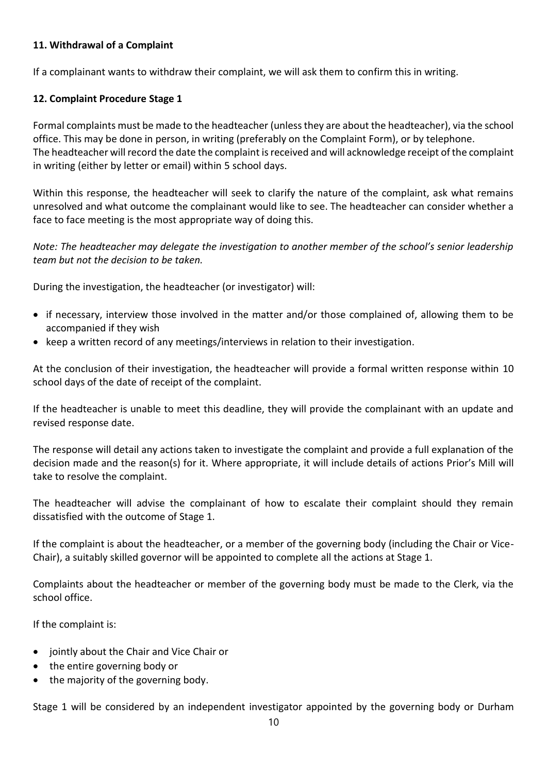#### **11. Withdrawal of a Complaint**

If a complainant wants to withdraw their complaint, we will ask them to confirm this in writing.

#### **12. Complaint Procedure Stage 1**

Formal complaints must be made to the headteacher (unless they are about the headteacher), via the school office. This may be done in person, in writing (preferably on the Complaint Form), or by telephone. The headteacher will record the date the complaint is received and will acknowledge receipt of the complaint in writing (either by letter or email) within 5 school days.

Within this response, the headteacher will seek to clarify the nature of the complaint, ask what remains unresolved and what outcome the complainant would like to see. The headteacher can consider whether a face to face meeting is the most appropriate way of doing this.

*Note: The headteacher may delegate the investigation to another member of the school's senior leadership team but not the decision to be taken.*

During the investigation, the headteacher (or investigator) will:

- if necessary, interview those involved in the matter and/or those complained of, allowing them to be accompanied if they wish
- keep a written record of any meetings/interviews in relation to their investigation.

At the conclusion of their investigation, the headteacher will provide a formal written response within 10 school days of the date of receipt of the complaint.

If the headteacher is unable to meet this deadline, they will provide the complainant with an update and revised response date.

The response will detail any actions taken to investigate the complaint and provide a full explanation of the decision made and the reason(s) for it. Where appropriate, it will include details of actions Prior's Mill will take to resolve the complaint.

The headteacher will advise the complainant of how to escalate their complaint should they remain dissatisfied with the outcome of Stage 1.

If the complaint is about the headteacher, or a member of the governing body (including the Chair or Vice-Chair), a suitably skilled governor will be appointed to complete all the actions at Stage 1.

Complaints about the headteacher or member of the governing body must be made to the Clerk, via the school office.

If the complaint is:

- jointly about the Chair and Vice Chair or
- the entire governing body or
- the majority of the governing body.

Stage 1 will be considered by an independent investigator appointed by the governing body or Durham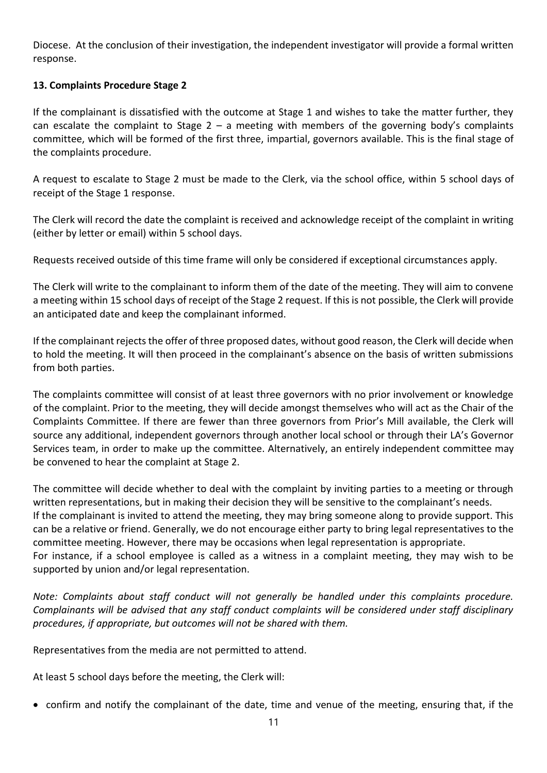Diocese. At the conclusion of their investigation, the independent investigator will provide a formal written response.

#### **13. Complaints Procedure Stage 2**

If the complainant is dissatisfied with the outcome at Stage 1 and wishes to take the matter further, they can escalate the complaint to Stage  $2 - a$  meeting with members of the governing body's complaints committee, which will be formed of the first three, impartial, governors available. This is the final stage of the complaints procedure.

A request to escalate to Stage 2 must be made to the Clerk, via the school office, within 5 school days of receipt of the Stage 1 response.

The Clerk will record the date the complaint is received and acknowledge receipt of the complaint in writing (either by letter or email) within 5 school days.

Requests received outside of this time frame will only be considered if exceptional circumstances apply.

The Clerk will write to the complainant to inform them of the date of the meeting. They will aim to convene a meeting within 15 school days of receipt of the Stage 2 request. If this is not possible, the Clerk will provide an anticipated date and keep the complainant informed.

If the complainant rejects the offer of three proposed dates, without good reason, the Clerk will decide when to hold the meeting. It will then proceed in the complainant's absence on the basis of written submissions from both parties.

The complaints committee will consist of at least three governors with no prior involvement or knowledge of the complaint. Prior to the meeting, they will decide amongst themselves who will act as the Chair of the Complaints Committee. If there are fewer than three governors from Prior's Mill available, the Clerk will source any additional, independent governors through another local school or through their LA's Governor Services team, in order to make up the committee. Alternatively, an entirely independent committee may be convened to hear the complaint at Stage 2.

The committee will decide whether to deal with the complaint by inviting parties to a meeting or through written representations, but in making their decision they will be sensitive to the complainant's needs. If the complainant is invited to attend the meeting, they may bring someone along to provide support. This can be a relative or friend. Generally, we do not encourage either party to bring legal representatives to the committee meeting. However, there may be occasions when legal representation is appropriate. For instance, if a school employee is called as a witness in a complaint meeting, they may wish to be supported by union and/or legal representation.

*Note: Complaints about staff conduct will not generally be handled under this complaints procedure. Complainants will be advised that any staff conduct complaints will be considered under staff disciplinary procedures, if appropriate, but outcomes will not be shared with them.* 

Representatives from the media are not permitted to attend.

At least 5 school days before the meeting, the Clerk will:

• confirm and notify the complainant of the date, time and venue of the meeting, ensuring that, if the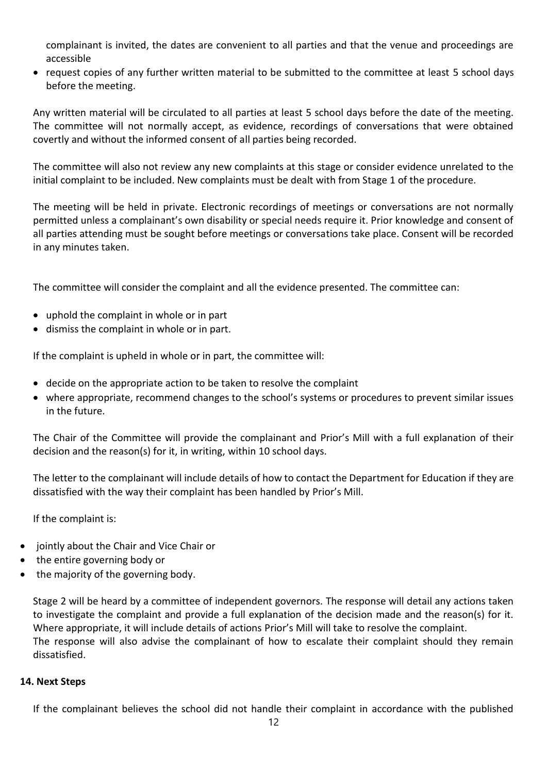complainant is invited, the dates are convenient to all parties and that the venue and proceedings are accessible

• request copies of any further written material to be submitted to the committee at least 5 school days before the meeting.

Any written material will be circulated to all parties at least 5 school days before the date of the meeting. The committee will not normally accept, as evidence, recordings of conversations that were obtained covertly and without the informed consent of all parties being recorded.

The committee will also not review any new complaints at this stage or consider evidence unrelated to the initial complaint to be included. New complaints must be dealt with from Stage 1 of the procedure.

The meeting will be held in private. Electronic recordings of meetings or conversations are not normally permitted unless a complainant's own disability or special needs require it. Prior knowledge and consent of all parties attending must be sought before meetings or conversations take place. Consent will be recorded in any minutes taken.

The committee will consider the complaint and all the evidence presented. The committee can:

- uphold the complaint in whole or in part
- dismiss the complaint in whole or in part.

If the complaint is upheld in whole or in part, the committee will:

- decide on the appropriate action to be taken to resolve the complaint
- where appropriate, recommend changes to the school's systems or procedures to prevent similar issues in the future.

The Chair of the Committee will provide the complainant and Prior's Mill with a full explanation of their decision and the reason(s) for it, in writing, within 10 school days.

The letter to the complainant will include details of how to contact the Department for Education if they are dissatisfied with the way their complaint has been handled by Prior's Mill.

If the complaint is:

- jointly about the Chair and Vice Chair or
- the entire governing body or
- the majority of the governing body.

Stage 2 will be heard by a committee of independent governors. The response will detail any actions taken to investigate the complaint and provide a full explanation of the decision made and the reason(s) for it. Where appropriate, it will include details of actions Prior's Mill will take to resolve the complaint. The response will also advise the complainant of how to escalate their complaint should they remain dissatisfied.

#### **14. Next Steps**

If the complainant believes the school did not handle their complaint in accordance with the published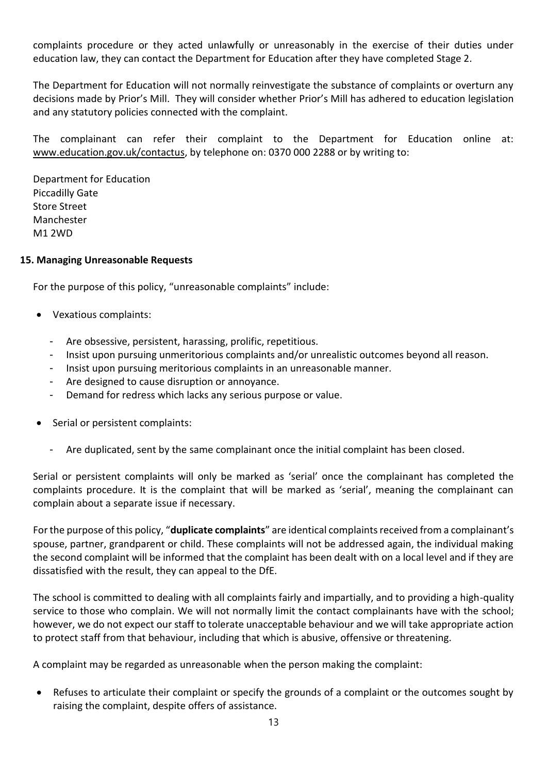complaints procedure or they acted unlawfully or unreasonably in the exercise of their duties under education law, they can contact the Department for Education after they have completed Stage 2.

The Department for Education will not normally reinvestigate the substance of complaints or overturn any decisions made by Prior's Mill. They will consider whether Prior's Mill has adhered to education legislation and any statutory policies connected with the complaint.

The complainant can refer their complaint to the Department for Education online at: [www.education.gov.uk/contactus,](http://www.education.gov.uk/contactus) by telephone on: 0370 000 2288 or by writing to:

Department for Education Piccadilly Gate Store Street **Manchester** M1 2WD

#### **15. Managing Unreasonable Requests**

For the purpose of this policy, "unreasonable complaints" include:

- Vexatious complaints:
	- Are obsessive, persistent, harassing, prolific, repetitious.
	- Insist upon pursuing unmeritorious complaints and/or unrealistic outcomes beyond all reason.
	- Insist upon pursuing meritorious complaints in an unreasonable manner.
	- Are designed to cause disruption or annoyance.
	- Demand for redress which lacks any serious purpose or value.
- Serial or persistent complaints:
	- Are duplicated, sent by the same complainant once the initial complaint has been closed.

Serial or persistent complaints will only be marked as 'serial' once the complainant has completed the complaints procedure. It is the complaint that will be marked as 'serial', meaning the complainant can complain about a separate issue if necessary.

For the purpose of this policy, "**duplicate complaints**" are identical complaints received from a complainant's spouse, partner, grandparent or child. These complaints will not be addressed again, the individual making the second complaint will be informed that the complaint has been dealt with on a local level and if they are dissatisfied with the result, they can appeal to the DfE.

The school is committed to dealing with all complaints fairly and impartially, and to providing a high-quality service to those who complain. We will not normally limit the contact complainants have with the school; however, we do not expect our staff to tolerate unacceptable behaviour and we will take appropriate action to protect staff from that behaviour, including that which is abusive, offensive or threatening.

A complaint may be regarded as unreasonable when the person making the complaint:

• Refuses to articulate their complaint or specify the grounds of a complaint or the outcomes sought by raising the complaint, despite offers of assistance.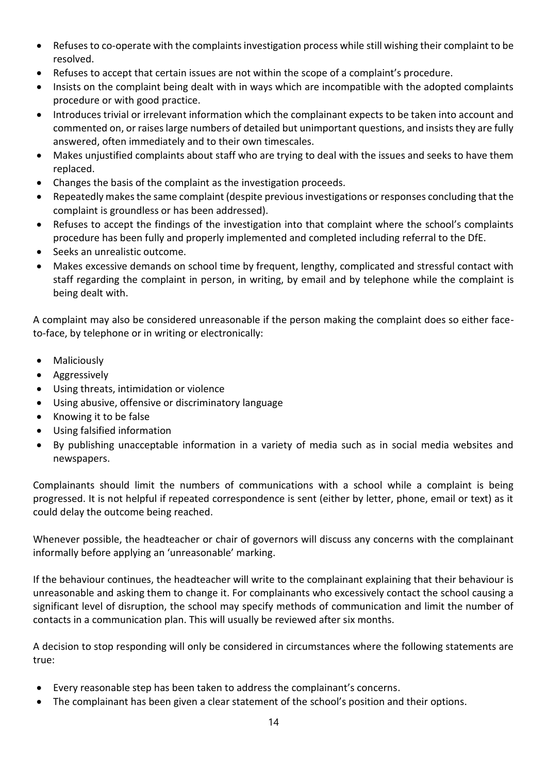- Refuses to co-operate with the complaints investigation process while still wishing their complaint to be resolved.
- Refuses to accept that certain issues are not within the scope of a complaint's procedure.
- Insists on the complaint being dealt with in ways which are incompatible with the adopted complaints procedure or with good practice.
- Introduces trivial or irrelevant information which the complainant expects to be taken into account and commented on, or raises large numbers of detailed but unimportant questions, and insists they are fully answered, often immediately and to their own timescales.
- Makes unjustified complaints about staff who are trying to deal with the issues and seeks to have them replaced.
- Changes the basis of the complaint as the investigation proceeds.
- Repeatedly makes the same complaint (despite previous investigations or responses concluding that the complaint is groundless or has been addressed).
- Refuses to accept the findings of the investigation into that complaint where the school's complaints procedure has been fully and properly implemented and completed including referral to the DfE.
- Seeks an unrealistic outcome.
- Makes excessive demands on school time by frequent, lengthy, complicated and stressful contact with staff regarding the complaint in person, in writing, by email and by telephone while the complaint is being dealt with.

A complaint may also be considered unreasonable if the person making the complaint does so either faceto-face, by telephone or in writing or electronically:

- Maliciously
- Aggressively
- Using threats, intimidation or violence
- Using abusive, offensive or discriminatory language
- Knowing it to be false
- Using falsified information
- By publishing unacceptable information in a variety of media such as in social media websites and newspapers.

Complainants should limit the numbers of communications with a school while a complaint is being progressed. It is not helpful if repeated correspondence is sent (either by letter, phone, email or text) as it could delay the outcome being reached.

Whenever possible, the headteacher or chair of governors will discuss any concerns with the complainant informally before applying an 'unreasonable' marking.

If the behaviour continues, the headteacher will write to the complainant explaining that their behaviour is unreasonable and asking them to change it. For complainants who excessively contact the school causing a significant level of disruption, the school may specify methods of communication and limit the number of contacts in a communication plan. This will usually be reviewed after six months.

A decision to stop responding will only be considered in circumstances where the following statements are true:

- Every reasonable step has been taken to address the complainant's concerns.
- The complainant has been given a clear statement of the school's position and their options.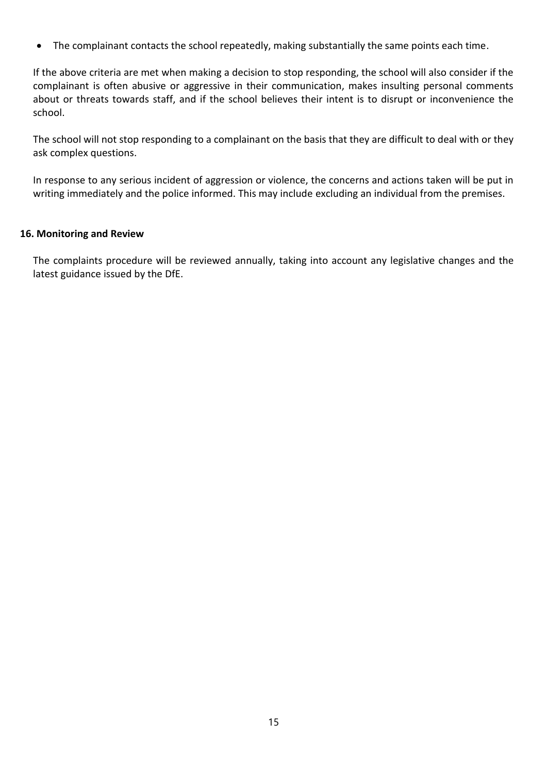• The complainant contacts the school repeatedly, making substantially the same points each time.

If the above criteria are met when making a decision to stop responding, the school will also consider if the complainant is often abusive or aggressive in their communication, makes insulting personal comments about or threats towards staff, and if the school believes their intent is to disrupt or inconvenience the school.

The school will not stop responding to a complainant on the basis that they are difficult to deal with or they ask complex questions.

In response to any serious incident of aggression or violence, the concerns and actions taken will be put in writing immediately and the police informed. This may include excluding an individual from the premises.

#### <span id="page-14-0"></span>**16. Monitoring and Review**

The complaints procedure will be reviewed annually, taking into account any legislative changes and the latest guidance issued by the DfE.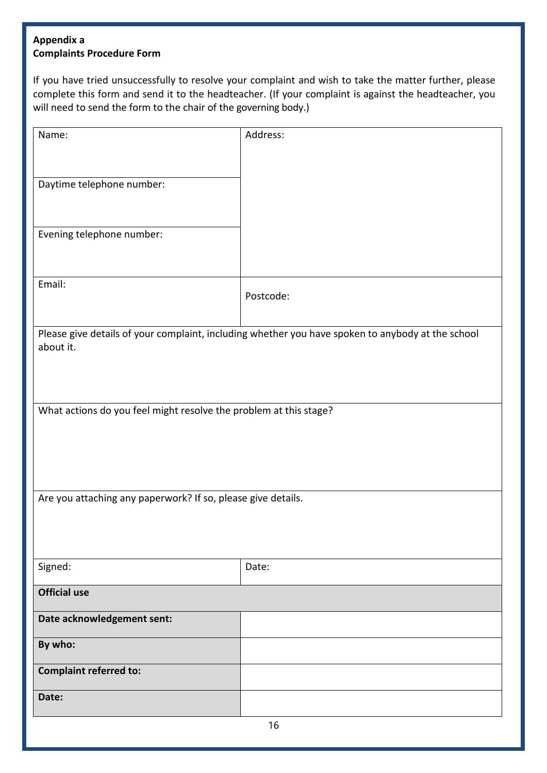# <span id="page-15-0"></span>**Appendix a Complaints Procedure Form**

If you have tried unsuccessfully to resolve your complaint and wish to take the matter further, please complete this form and send it to the headteacher. (If your complaint is against the headteacher, you will need to send the form to the chair of the governing body.)

| Name:                                                             | Address:                                                                                          |  |
|-------------------------------------------------------------------|---------------------------------------------------------------------------------------------------|--|
|                                                                   |                                                                                                   |  |
|                                                                   |                                                                                                   |  |
|                                                                   |                                                                                                   |  |
| Daytime telephone number:                                         |                                                                                                   |  |
|                                                                   |                                                                                                   |  |
|                                                                   |                                                                                                   |  |
| Evening telephone number:                                         |                                                                                                   |  |
|                                                                   |                                                                                                   |  |
|                                                                   |                                                                                                   |  |
| Email:                                                            |                                                                                                   |  |
|                                                                   | Postcode:                                                                                         |  |
|                                                                   |                                                                                                   |  |
|                                                                   | Please give details of your complaint, including whether you have spoken to anybody at the school |  |
| about it.                                                         |                                                                                                   |  |
|                                                                   |                                                                                                   |  |
|                                                                   |                                                                                                   |  |
|                                                                   |                                                                                                   |  |
| What actions do you feel might resolve the problem at this stage? |                                                                                                   |  |
|                                                                   |                                                                                                   |  |
|                                                                   |                                                                                                   |  |
|                                                                   |                                                                                                   |  |
|                                                                   |                                                                                                   |  |
|                                                                   |                                                                                                   |  |
| Are you attaching any paperwork? If so, please give details.      |                                                                                                   |  |
|                                                                   |                                                                                                   |  |
|                                                                   |                                                                                                   |  |
|                                                                   |                                                                                                   |  |
| Signed:                                                           | Date:                                                                                             |  |
|                                                                   |                                                                                                   |  |
| <b>Official use</b>                                               |                                                                                                   |  |
|                                                                   |                                                                                                   |  |
| Date acknowledgement sent:                                        |                                                                                                   |  |
|                                                                   |                                                                                                   |  |
| By who:                                                           |                                                                                                   |  |
| <b>Complaint referred to:</b>                                     |                                                                                                   |  |
|                                                                   |                                                                                                   |  |
| Date:                                                             |                                                                                                   |  |
|                                                                   |                                                                                                   |  |
| 16                                                                |                                                                                                   |  |
|                                                                   |                                                                                                   |  |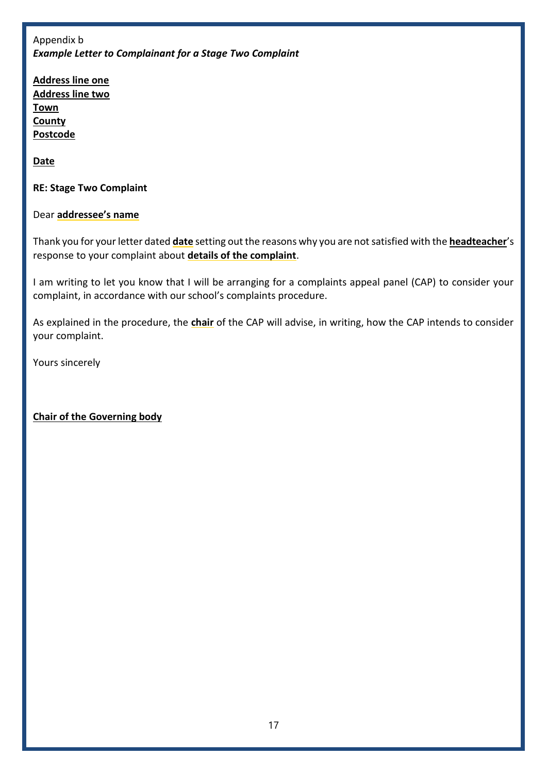<span id="page-16-0"></span>Appendix b *Example Letter to Complainant for a Stage Two Complaint* 

**Address line one Address line two Town County Postcode**

**Date**

**RE: Stage Two Complaint**

Dear **addressee's name**

Thank you for your letter dated **date** setting out the reasons why you are not satisfied with the **headteacher**'s response to your complaint about **details of the complaint**.

I am writing to let you know that I will be arranging for a complaints appeal panel (CAP) to consider your complaint, in accordance with our school's complaints procedure.

As explained in the procedure, the **chair** of the CAP will advise, in writing, how the CAP intends to consider your complaint.

Yours sincerely

# **Chair of the Governing body**